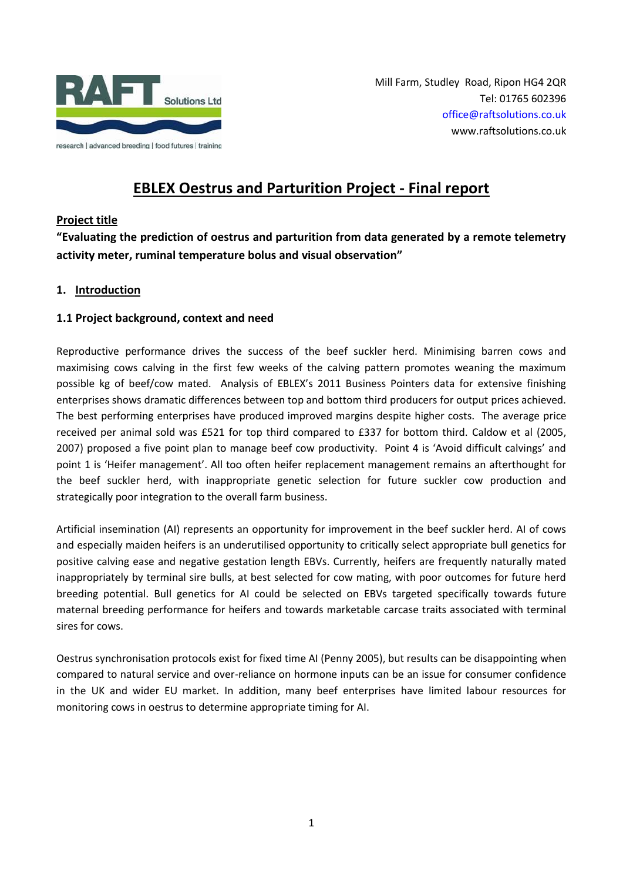

Mill Farm, Studley Road, Ripon HG4 2QR Tel: 01765 602396 [office@raftsolutions.co.uk](mailto:office@raftsolutions.co.uk) www.raftsolutions.co.uk

# **EBLEX Oestrus and Parturition Project - Final report**

## **Project title**

**"Evaluating the prediction of oestrus and parturition from data generated by a remote telemetry activity meter, ruminal temperature bolus and visual observation"**

#### **1. Introduction**

#### **1.1 Project background, context and need**

Reproductive performance drives the success of the beef suckler herd. Minimising barren cows and maximising cows calving in the first few weeks of the calving pattern promotes weaning the maximum possible kg of beef/cow mated. Analysis of EBLEX's 2011 Business Pointers data for extensive finishing enterprises shows dramatic differences between top and bottom third producers for output prices achieved. The best performing enterprises have produced improved margins despite higher costs. The average price received per animal sold was £521 for top third compared to £337 for bottom third. Caldow et al (2005, 2007) proposed a five point plan to manage beef cow productivity. Point 4 is 'Avoid difficult calvings' and point 1 is 'Heifer management'. All too often heifer replacement management remains an afterthought for the beef suckler herd, with inappropriate genetic selection for future suckler cow production and strategically poor integration to the overall farm business.

Artificial insemination (AI) represents an opportunity for improvement in the beef suckler herd. AI of cows and especially maiden heifers is an underutilised opportunity to critically select appropriate bull genetics for positive calving ease and negative gestation length EBVs. Currently, heifers are frequently naturally mated inappropriately by terminal sire bulls, at best selected for cow mating, with poor outcomes for future herd breeding potential. Bull genetics for AI could be selected on EBVs targeted specifically towards future maternal breeding performance for heifers and towards marketable carcase traits associated with terminal sires for cows.

Oestrus synchronisation protocols exist for fixed time AI (Penny 2005), but results can be disappointing when compared to natural service and over-reliance on hormone inputs can be an issue for consumer confidence in the UK and wider EU market. In addition, many beef enterprises have limited labour resources for monitoring cows in oestrus to determine appropriate timing for AI.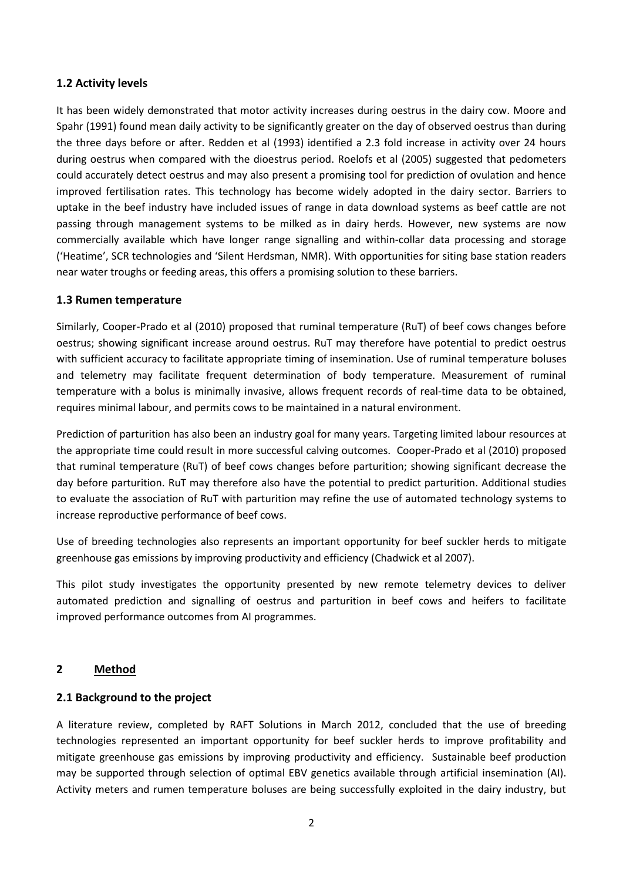#### **1.2 Activity levels**

It has been widely demonstrated that motor activity increases during oestrus in the dairy cow. Moore and Spahr (1991) found mean daily activity to be significantly greater on the day of observed oestrus than during the three days before or after. Redden et al (1993) identified a 2.3 fold increase in activity over 24 hours during oestrus when compared with the dioestrus period. Roelofs et al (2005) suggested that pedometers could accurately detect oestrus and may also present a promising tool for prediction of ovulation and hence improved fertilisation rates. This technology has become widely adopted in the dairy sector. Barriers to uptake in the beef industry have included issues of range in data download systems as beef cattle are not passing through management systems to be milked as in dairy herds. However, new systems are now commercially available which have longer range signalling and within-collar data processing and storage ('Heatime', SCR technologies and 'Silent Herdsman, NMR). With opportunities for siting base station readers near water troughs or feeding areas, this offers a promising solution to these barriers.

#### **1.3 Rumen temperature**

Similarly, Cooper-Prado et al (2010) proposed that ruminal temperature (RuT) of beef cows changes before oestrus; showing significant increase around oestrus. RuT may therefore have potential to predict oestrus with sufficient accuracy to facilitate appropriate timing of insemination. Use of ruminal temperature boluses and telemetry may facilitate frequent determination of body temperature. Measurement of ruminal temperature with a bolus is minimally invasive, allows frequent records of real-time data to be obtained, requires minimal labour, and permits cows to be maintained in a natural environment.

Prediction of parturition has also been an industry goal for many years. Targeting limited labour resources at the appropriate time could result in more successful calving outcomes. Cooper-Prado et al (2010) proposed that ruminal temperature (RuT) of beef cows changes before parturition; showing significant decrease the day before parturition. RuT may therefore also have the potential to predict parturition. Additional studies to evaluate the association of RuT with parturition may refine the use of automated technology systems to increase reproductive performance of beef cows.

Use of breeding technologies also represents an important opportunity for beef suckler herds to mitigate greenhouse gas emissions by improving productivity and efficiency (Chadwick et al 2007).

This pilot study investigates the opportunity presented by new remote telemetry devices to deliver automated prediction and signalling of oestrus and parturition in beef cows and heifers to facilitate improved performance outcomes from AI programmes.

#### **2 Method**

#### **2.1 Background to the project**

A literature review, completed by RAFT Solutions in March 2012, concluded that the use of breeding technologies represented an important opportunity for beef suckler herds to improve profitability and mitigate greenhouse gas emissions by improving productivity and efficiency. Sustainable beef production may be supported through selection of optimal EBV genetics available through artificial insemination (AI). Activity meters and rumen temperature boluses are being successfully exploited in the dairy industry, but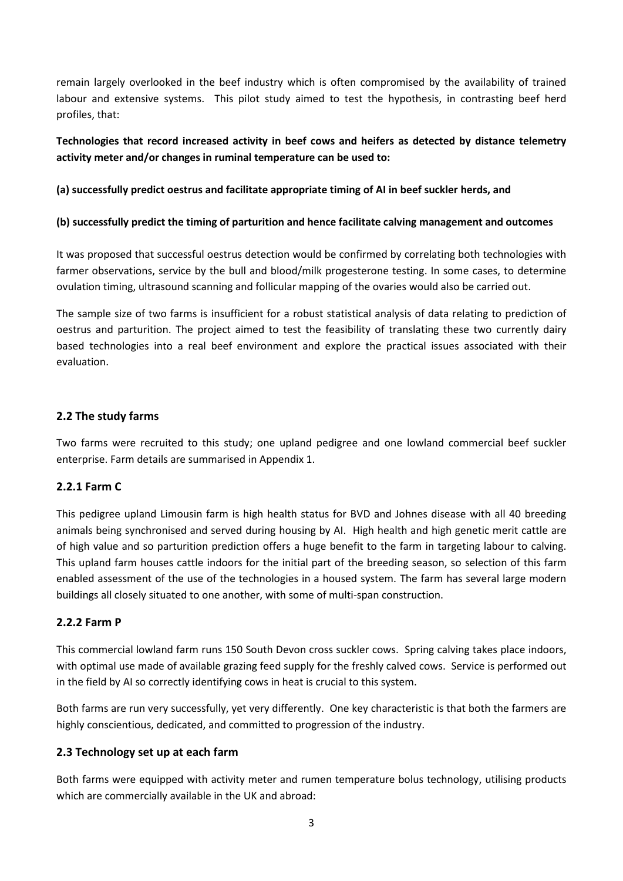remain largely overlooked in the beef industry which is often compromised by the availability of trained labour and extensive systems. This pilot study aimed to test the hypothesis, in contrasting beef herd profiles, that:

# **Technologies that record increased activity in beef cows and heifers as detected by distance telemetry activity meter and/or changes in ruminal temperature can be used to:**

#### **(a) successfully predict oestrus and facilitate appropriate timing of AI in beef suckler herds, and**

#### **(b) successfully predict the timing of parturition and hence facilitate calving management and outcomes**

It was proposed that successful oestrus detection would be confirmed by correlating both technologies with farmer observations, service by the bull and blood/milk progesterone testing. In some cases, to determine ovulation timing, ultrasound scanning and follicular mapping of the ovaries would also be carried out.

The sample size of two farms is insufficient for a robust statistical analysis of data relating to prediction of oestrus and parturition. The project aimed to test the feasibility of translating these two currently dairy based technologies into a real beef environment and explore the practical issues associated with their evaluation.

### **2.2 The study farms**

Two farms were recruited to this study; one upland pedigree and one lowland commercial beef suckler enterprise. Farm details are summarised in Appendix 1.

# **2.2.1 Farm C**

This pedigree upland Limousin farm is high health status for BVD and Johnes disease with all 40 breeding animals being synchronised and served during housing by AI. High health and high genetic merit cattle are of high value and so parturition prediction offers a huge benefit to the farm in targeting labour to calving. This upland farm houses cattle indoors for the initial part of the breeding season, so selection of this farm enabled assessment of the use of the technologies in a housed system. The farm has several large modern buildings all closely situated to one another, with some of multi-span construction.

#### **2.2.2 Farm P**

This commercial lowland farm runs 150 South Devon cross suckler cows. Spring calving takes place indoors, with optimal use made of available grazing feed supply for the freshly calved cows. Service is performed out in the field by AI so correctly identifying cows in heat is crucial to this system.

Both farms are run very successfully, yet very differently. One key characteristic is that both the farmers are highly conscientious, dedicated, and committed to progression of the industry.

#### **2.3 Technology set up at each farm**

Both farms were equipped with activity meter and rumen temperature bolus technology, utilising products which are commercially available in the UK and abroad: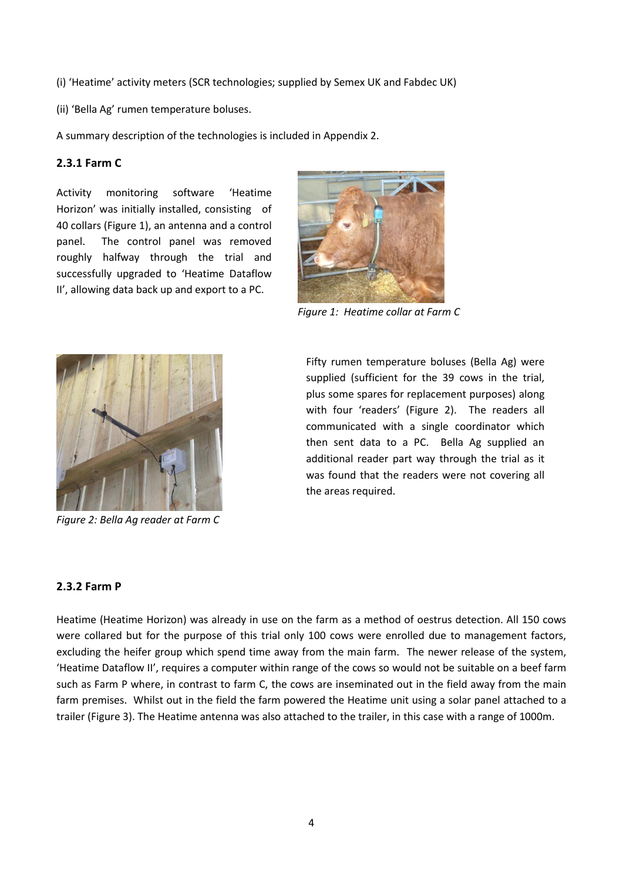(i) 'Heatime' activity meters (SCR technologies; supplied by Semex UK and Fabdec UK)

(ii) 'Bella Ag' rumen temperature boluses.

A summary description of the technologies is included in Appendix 2.

#### **2.3.1 Farm C**

Activity monitoring software 'Heatime Horizon' was initially installed, consisting of 40 collars (Figure 1), an antenna and a control panel. The control panel was removed roughly halfway through the trial and successfully upgraded to 'Heatime Dataflow II', allowing data back up and export to a PC.



*Figure 1: Heatime collar at Farm C*



*Figure 2: Bella Ag reader at Farm C*

Fifty rumen temperature boluses (Bella Ag) were supplied (sufficient for the 39 cows in the trial, plus some spares for replacement purposes) along with four 'readers' (Figure 2). The readers all communicated with a single coordinator which then sent data to a PC. Bella Ag supplied an additional reader part way through the trial as it was found that the readers were not covering all the areas required.

#### **2.3.2 Farm P**

Heatime (Heatime Horizon) was already in use on the farm as a method of oestrus detection. All 150 cows were collared but for the purpose of this trial only 100 cows were enrolled due to management factors, excluding the heifer group which spend time away from the main farm. The newer release of the system, 'Heatime Dataflow II', requires a computer within range of the cows so would not be suitable on a beef farm such as Farm P where, in contrast to farm C, the cows are inseminated out in the field away from the main farm premises. Whilst out in the field the farm powered the Heatime unit using a solar panel attached to a trailer (Figure 3). The Heatime antenna was also attached to the trailer, in this case with a range of 1000m.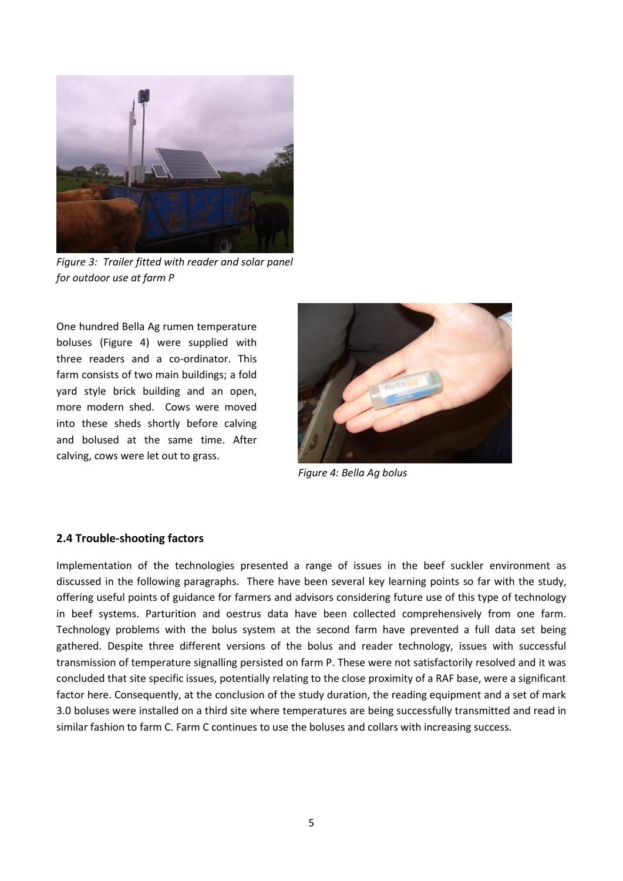

*Figure 3: Trailer fitted with reader and solar panel for outdoor use at farm P*

One hundred Bella Ag rumen temperature boluses (Figure 4) were supplied with three readers and a co-ordinator. This farm consists of two main buildings; a fold yard style brick building and an open, more modern shed. Cows were moved into these sheds shortly before calving and bolused at the same time. After calving, cows were let out to grass.



*Figure 4: Bella Ag bolus*

#### **2.4 Trouble-shooting factors**

Implementation of the technologies presented a range of issues in the beef suckler environment as discussed in the following paragraphs. There have been several key learning points so far with the study, offering useful points of guidance for farmers and advisors considering future use of this type of technology in beef systems. Parturition and oestrus data have been collected comprehensively from one farm. Technology problems with the bolus system at the second farm have prevented a full data set being gathered. Despite three different versions of the bolus and reader technology, issues with successful transmission of temperature signalling persisted on farm P. These were not satisfactorily resolved and it was concluded that site specific issues, potentially relating to the close proximity of a RAF base, were a significant factor here. Consequently, at the conclusion of the study duration, the reading equipment and a set of mark 3.0 boluses were installed on a third site where temperatures are being successfully transmitted and read in similar fashion to farm C. Farm C continues to use the boluses and collars with increasing success.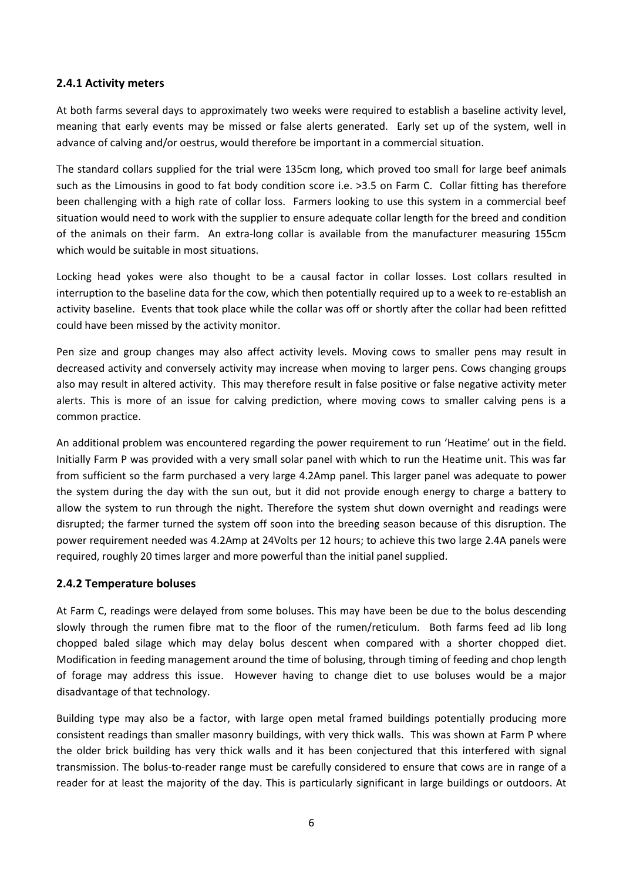#### **2.4.1 Activity meters**

At both farms several days to approximately two weeks were required to establish a baseline activity level, meaning that early events may be missed or false alerts generated. Early set up of the system, well in advance of calving and/or oestrus, would therefore be important in a commercial situation.

The standard collars supplied for the trial were 135cm long, which proved too small for large beef animals such as the Limousins in good to fat body condition score i.e. >3.5 on Farm C. Collar fitting has therefore been challenging with a high rate of collar loss. Farmers looking to use this system in a commercial beef situation would need to work with the supplier to ensure adequate collar length for the breed and condition of the animals on their farm. An extra-long collar is available from the manufacturer measuring 155cm which would be suitable in most situations.

Locking head yokes were also thought to be a causal factor in collar losses. Lost collars resulted in interruption to the baseline data for the cow, which then potentially required up to a week to re-establish an activity baseline. Events that took place while the collar was off or shortly after the collar had been refitted could have been missed by the activity monitor.

Pen size and group changes may also affect activity levels. Moving cows to smaller pens may result in decreased activity and conversely activity may increase when moving to larger pens. Cows changing groups also may result in altered activity. This may therefore result in false positive or false negative activity meter alerts. This is more of an issue for calving prediction, where moving cows to smaller calving pens is a common practice.

An additional problem was encountered regarding the power requirement to run 'Heatime' out in the field. Initially Farm P was provided with a very small solar panel with which to run the Heatime unit. This was far from sufficient so the farm purchased a very large 4.2Amp panel. This larger panel was adequate to power the system during the day with the sun out, but it did not provide enough energy to charge a battery to allow the system to run through the night. Therefore the system shut down overnight and readings were disrupted; the farmer turned the system off soon into the breeding season because of this disruption. The power requirement needed was 4.2Amp at 24Volts per 12 hours; to achieve this two large 2.4A panels were required, roughly 20 times larger and more powerful than the initial panel supplied.

#### **2.4.2 Temperature boluses**

At Farm C, readings were delayed from some boluses. This may have been be due to the bolus descending slowly through the rumen fibre mat to the floor of the rumen/reticulum. Both farms feed ad lib long chopped baled silage which may delay bolus descent when compared with a shorter chopped diet. Modification in feeding management around the time of bolusing, through timing of feeding and chop length of forage may address this issue. However having to change diet to use boluses would be a major disadvantage of that technology.

Building type may also be a factor, with large open metal framed buildings potentially producing more consistent readings than smaller masonry buildings, with very thick walls. This was shown at Farm P where the older brick building has very thick walls and it has been conjectured that this interfered with signal transmission. The bolus-to-reader range must be carefully considered to ensure that cows are in range of a reader for at least the majority of the day. This is particularly significant in large buildings or outdoors. At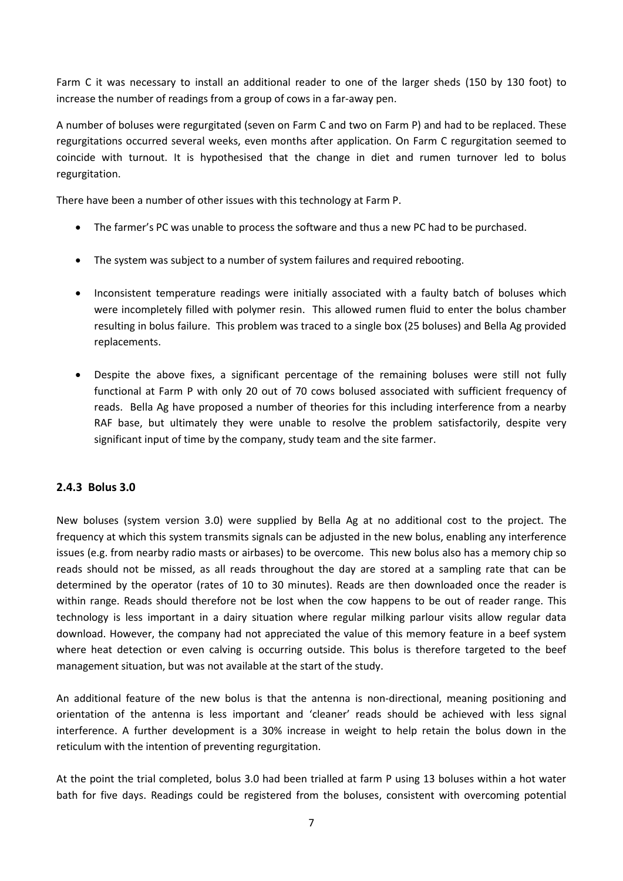Farm C it was necessary to install an additional reader to one of the larger sheds (150 by 130 foot) to increase the number of readings from a group of cows in a far-away pen.

A number of boluses were regurgitated (seven on Farm C and two on Farm P) and had to be replaced. These regurgitations occurred several weeks, even months after application. On Farm C regurgitation seemed to coincide with turnout. It is hypothesised that the change in diet and rumen turnover led to bolus regurgitation.

There have been a number of other issues with this technology at Farm P.

- The farmer's PC was unable to process the software and thus a new PC had to be purchased.
- The system was subject to a number of system failures and required rebooting.
- Inconsistent temperature readings were initially associated with a faulty batch of boluses which were incompletely filled with polymer resin. This allowed rumen fluid to enter the bolus chamber resulting in bolus failure. This problem was traced to a single box (25 boluses) and Bella Ag provided replacements.
- Despite the above fixes, a significant percentage of the remaining boluses were still not fully functional at Farm P with only 20 out of 70 cows bolused associated with sufficient frequency of reads. Bella Ag have proposed a number of theories for this including interference from a nearby RAF base, but ultimately they were unable to resolve the problem satisfactorily, despite very significant input of time by the company, study team and the site farmer.

#### **2.4.3 Bolus 3.0**

New boluses (system version 3.0) were supplied by Bella Ag at no additional cost to the project. The frequency at which this system transmits signals can be adjusted in the new bolus, enabling any interference issues (e.g. from nearby radio masts or airbases) to be overcome. This new bolus also has a memory chip so reads should not be missed, as all reads throughout the day are stored at a sampling rate that can be determined by the operator (rates of 10 to 30 minutes). Reads are then downloaded once the reader is within range. Reads should therefore not be lost when the cow happens to be out of reader range. This technology is less important in a dairy situation where regular milking parlour visits allow regular data download. However, the company had not appreciated the value of this memory feature in a beef system where heat detection or even calving is occurring outside. This bolus is therefore targeted to the beef management situation, but was not available at the start of the study.

An additional feature of the new bolus is that the antenna is non-directional, meaning positioning and orientation of the antenna is less important and 'cleaner' reads should be achieved with less signal interference. A further development is a 30% increase in weight to help retain the bolus down in the reticulum with the intention of preventing regurgitation.

At the point the trial completed, bolus 3.0 had been trialled at farm P using 13 boluses within a hot water bath for five days. Readings could be registered from the boluses, consistent with overcoming potential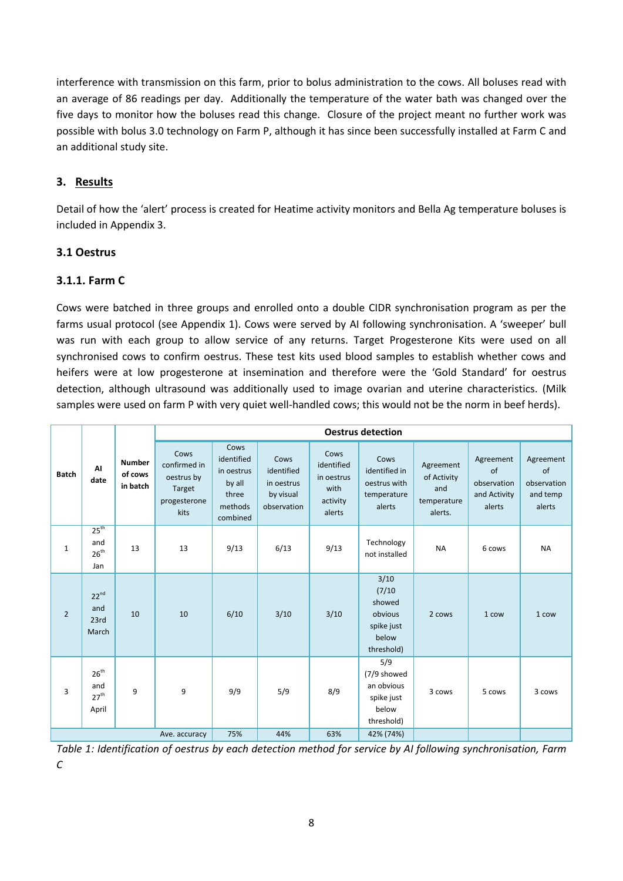interference with transmission on this farm, prior to bolus administration to the cows. All boluses read with an average of 86 readings per day. Additionally the temperature of the water bath was changed over the five days to monitor how the boluses read this change. Closure of the project meant no further work was possible with bolus 3.0 technology on Farm P, although it has since been successfully installed at Farm C and an additional study site.

# **3. Results**

Detail of how the 'alert' process is created for Heatime activity monitors and Bella Ag temperature boluses is included in Appendix 3.

# **3.1 Oestrus**

### **3.1.1. Farm C**

Cows were batched in three groups and enrolled onto a double CIDR synchronisation program as per the farms usual protocol (see Appendix 1). Cows were served by AI following synchronisation. A 'sweeper' bull was run with each group to allow service of any returns. Target Progesterone Kits were used on all synchronised cows to confirm oestrus. These test kits used blood samples to establish whether cows and heifers were at low progesterone at insemination and therefore were the 'Gold Standard' for oestrus detection, although ultrasound was additionally used to image ovarian and uterine characteristics. (Milk samples were used on farm P with very quiet well-handled cows; this would not be the norm in beef herds).

|                |                                               |                                      | <b>Oestrus detection</b>                                             |                                                                            |                                                              |                                                                |                                                                          |                                                           |                                                          |                                                      |
|----------------|-----------------------------------------------|--------------------------------------|----------------------------------------------------------------------|----------------------------------------------------------------------------|--------------------------------------------------------------|----------------------------------------------------------------|--------------------------------------------------------------------------|-----------------------------------------------------------|----------------------------------------------------------|------------------------------------------------------|
| <b>Batch</b>   | ΑI<br>date                                    | <b>Number</b><br>of cows<br>in batch | Cows<br>confirmed in<br>oestrus by<br>Target<br>progesterone<br>kits | Cows<br>identified<br>in oestrus<br>by all<br>three<br>methods<br>combined | Cows<br>identified<br>in oestrus<br>by visual<br>observation | Cows<br>identified<br>in oestrus<br>with<br>activity<br>alerts | Cows<br>identified in<br>oestrus with<br>temperature<br>alerts           | Agreement<br>of Activity<br>and<br>temperature<br>alerts. | Agreement<br>of<br>observation<br>and Activity<br>alerts | Agreement<br>of<br>observation<br>and temp<br>alerts |
| $\mathbf{1}$   | $25^{\text{th}}$<br>and<br>$26^{th}$<br>Jan   | 13                                   | 13                                                                   | 9/13                                                                       | 6/13                                                         | 9/13                                                           | Technology<br>not installed                                              | <b>NA</b>                                                 | 6 cows                                                   | <b>NA</b>                                            |
| $\overline{2}$ | $22^{nd}$<br>and<br>23rd<br>March             | 10                                   | 10                                                                   | 6/10                                                                       | 3/10                                                         | 3/10                                                           | 3/10<br>(7/10)<br>showed<br>obvious<br>spike just<br>below<br>threshold) | 2 cows                                                    | 1 cow                                                    | 1 cow                                                |
| 3              | $26^{th}$<br>and<br>$27^{\text{th}}$<br>April | 9                                    | 9                                                                    | 9/9                                                                        | 5/9                                                          | 8/9                                                            | 5/9<br>(7/9 showed<br>an obvious<br>spike just<br>below<br>threshold)    | 3 cows                                                    | 5 cows                                                   | 3 cows                                               |
|                |                                               |                                      | Ave. accuracy                                                        | 75%                                                                        | 44%                                                          | 63%                                                            | 42% (74%)                                                                |                                                           |                                                          |                                                      |

*Table 1: Identification of oestrus by each detection method for service by AI following synchronisation, Farm C*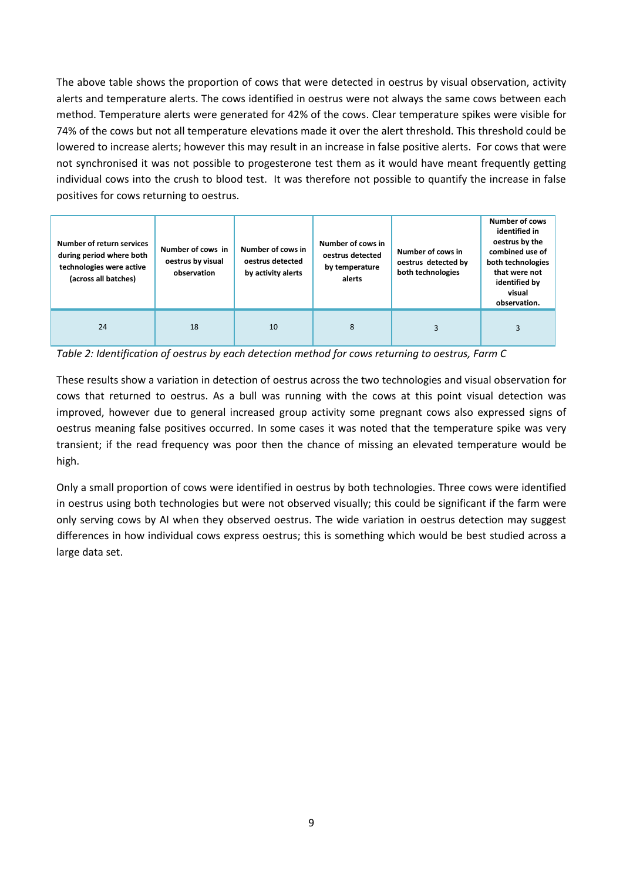The above table shows the proportion of cows that were detected in oestrus by visual observation, activity alerts and temperature alerts. The cows identified in oestrus were not always the same cows between each method. Temperature alerts were generated for 42% of the cows. Clear temperature spikes were visible for 74% of the cows but not all temperature elevations made it over the alert threshold. This threshold could be lowered to increase alerts; however this may result in an increase in false positive alerts. For cows that were not synchronised it was not possible to progesterone test them as it would have meant frequently getting individual cows into the crush to blood test. It was therefore not possible to quantify the increase in false positives for cows returning to oestrus.

| Number of return services<br>during period where both<br>technologies were active<br>(across all batches) | Number of cows in<br>oestrus by visual<br>observation | Number of cows in<br>oestrus detected<br>by activity alerts | Number of cows in<br>oestrus detected<br>by temperature<br>alerts | Number of cows in<br>oestrus detected by<br>both technologies | <b>Number of cows</b><br>identified in<br>oestrus by the<br>combined use of<br>both technologies<br>that were not<br>identified by<br>visual<br>observation. |
|-----------------------------------------------------------------------------------------------------------|-------------------------------------------------------|-------------------------------------------------------------|-------------------------------------------------------------------|---------------------------------------------------------------|--------------------------------------------------------------------------------------------------------------------------------------------------------------|
| 24                                                                                                        | 18                                                    | 10                                                          | 8                                                                 | $\mathbf{a}$                                                  | 3                                                                                                                                                            |

*Table 2: Identification of oestrus by each detection method for cows returning to oestrus, Farm C*

These results show a variation in detection of oestrus across the two technologies and visual observation for cows that returned to oestrus. As a bull was running with the cows at this point visual detection was improved, however due to general increased group activity some pregnant cows also expressed signs of oestrus meaning false positives occurred. In some cases it was noted that the temperature spike was very transient; if the read frequency was poor then the chance of missing an elevated temperature would be high.

Only a small proportion of cows were identified in oestrus by both technologies. Three cows were identified in oestrus using both technologies but were not observed visually; this could be significant if the farm were only serving cows by AI when they observed oestrus. The wide variation in oestrus detection may suggest differences in how individual cows express oestrus; this is something which would be best studied across a large data set.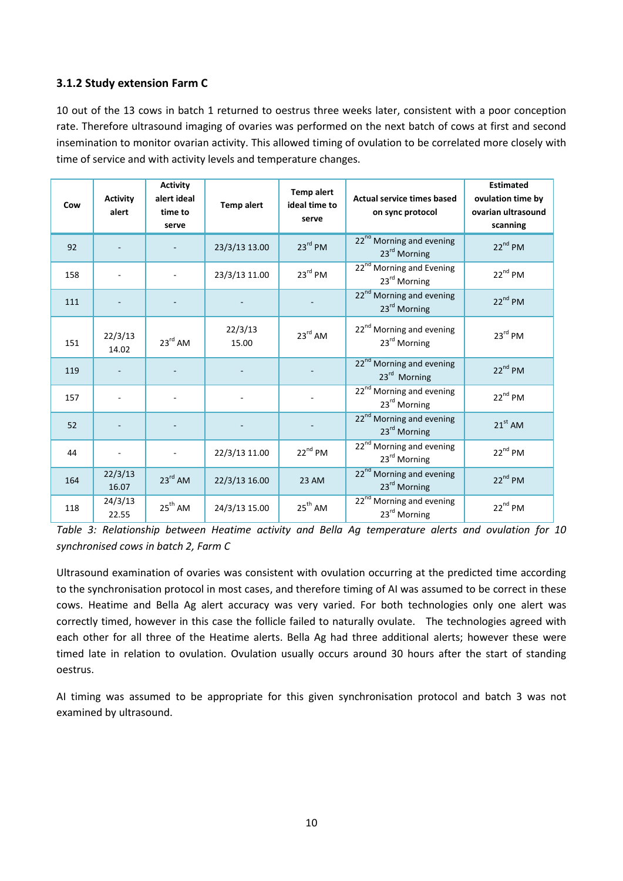# **3.1.2 Study extension Farm C**

10 out of the 13 cows in batch 1 returned to oestrus three weeks later, consistent with a poor conception rate. Therefore ultrasound imaging of ovaries was performed on the next batch of cows at first and second insemination to monitor ovarian activity. This allowed timing of ovulation to be correlated more closely with time of service and with activity levels and temperature changes.

| Cow | <b>Activity</b><br>alert | <b>Activity</b><br>alert ideal<br>time to<br>serve | <b>Temp alert</b> | <b>Temp alert</b><br>ideal time to<br>serve | <b>Actual service times based</b><br>on sync protocol            | <b>Estimated</b><br>ovulation time by<br>ovarian ultrasound<br>scanning |
|-----|--------------------------|----------------------------------------------------|-------------------|---------------------------------------------|------------------------------------------------------------------|-------------------------------------------------------------------------|
| 92  |                          |                                                    | 23/3/13 13.00     | $23^{rd}$ PM                                | 22 <sup>nd</sup> Morning and evening<br>23 <sup>rd</sup> Morning | $22^{nd}$ PM                                                            |
| 158 |                          |                                                    | 23/3/13 11.00     | $23^{rd}$ PM                                | 22 <sup>nd</sup> Morning and Evening<br>23rd Morning             | $22^{nd}$ PM                                                            |
| 111 |                          |                                                    |                   |                                             | 22 <sup>nd</sup> Morning and evening<br>23rd Morning             | $22^{nd}$ PM                                                            |
| 151 | 22/3/13<br>14.02         | $23^{\text{rd}}$ AM                                | 22/3/13<br>15.00  | $23^{\text{rd}}$ AM                         | 22 <sup>nd</sup> Morning and evening<br>23rd Morning             | $23^{\text{rd}}$ PM                                                     |
| 119 |                          |                                                    |                   |                                             | 22 <sup>nd</sup> Morning and evening<br>23rd Morning             | $22^{nd}$ PM                                                            |
| 157 |                          |                                                    |                   |                                             | 22 <sup>nd</sup> Morning and evening<br>23 <sup>rd</sup> Morning | $22^{nd}$ PM                                                            |
| 52  |                          |                                                    |                   |                                             | 22 <sup>nd</sup> Morning and evening<br>23 <sup>rd</sup> Morning | $21st$ AM                                                               |
| 44  |                          |                                                    | 22/3/13 11.00     | $22^{nd}$ PM                                | 22 <sup>nd</sup> Morning and evening<br>23 <sup>rd</sup> Morning | $22^{nd}$ PM                                                            |
| 164 | 22/3/13<br>16.07         | $23^{rd}$ AM                                       | 22/3/13 16.00     | <b>23 AM</b>                                | 22 <sup>nd</sup> Morning and evening<br>23 <sup>rd</sup> Morning | $22^{nd}$ PM                                                            |
| 118 | 24/3/13<br>22.55         | $25^{th}$ AM                                       | 24/3/13 15.00     | $25^{th}$ AM                                | 22 <sup>nd</sup> Morning and evening<br>23rd Morning             | $22^{nd}$ PM                                                            |

*Table 3: Relationship between Heatime activity and Bella Ag temperature alerts and ovulation for 10 synchronised cows in batch 2, Farm C*

Ultrasound examination of ovaries was consistent with ovulation occurring at the predicted time according to the synchronisation protocol in most cases, and therefore timing of AI was assumed to be correct in these cows. Heatime and Bella Ag alert accuracy was very varied. For both technologies only one alert was correctly timed, however in this case the follicle failed to naturally ovulate. The technologies agreed with each other for all three of the Heatime alerts. Bella Ag had three additional alerts; however these were timed late in relation to ovulation. Ovulation usually occurs around 30 hours after the start of standing oestrus.

AI timing was assumed to be appropriate for this given synchronisation protocol and batch 3 was not examined by ultrasound.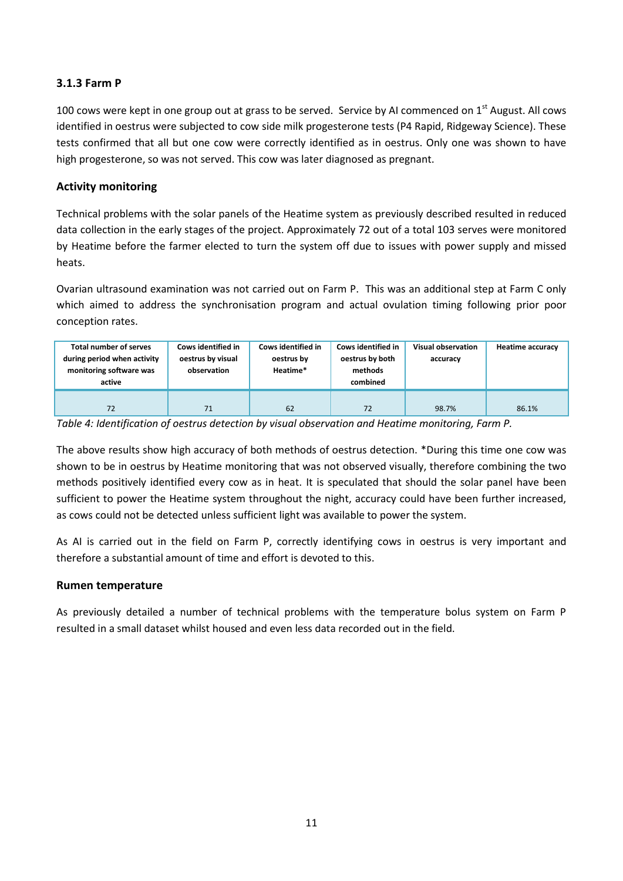## **3.1.3 Farm P**

100 cows were kept in one group out at grass to be served. Service by AI commenced on 1<sup>st</sup> August. All cows identified in oestrus were subjected to cow side milk progesterone tests (P4 Rapid, Ridgeway Science). These tests confirmed that all but one cow were correctly identified as in oestrus. Only one was shown to have high progesterone, so was not served. This cow was later diagnosed as pregnant.

#### **Activity monitoring**

Technical problems with the solar panels of the Heatime system as previously described resulted in reduced data collection in the early stages of the project. Approximately 72 out of a total 103 serves were monitored by Heatime before the farmer elected to turn the system off due to issues with power supply and missed heats.

Ovarian ultrasound examination was not carried out on Farm P. This was an additional step at Farm C only which aimed to address the synchronisation program and actual ovulation timing following prior poor conception rates.

| Total number of serves<br>during period when activity<br>monitoring software was<br>active | Cows identified in<br>oestrus by visual<br>observation | Cows identified in<br>oestrus by<br>Heatime* | Cows identified in<br>oestrus by both<br>methods<br>combined | <b>Visual observation</b><br>accuracy | <b>Heatime accuracy</b> |
|--------------------------------------------------------------------------------------------|--------------------------------------------------------|----------------------------------------------|--------------------------------------------------------------|---------------------------------------|-------------------------|
| 72                                                                                         | 71                                                     | 62                                           | 72                                                           | 98.7%                                 | 86.1%                   |

*Table 4: Identification of oestrus detection by visual observation and Heatime monitoring, Farm P.*

The above results show high accuracy of both methods of oestrus detection. \*During this time one cow was shown to be in oestrus by Heatime monitoring that was not observed visually, therefore combining the two methods positively identified every cow as in heat. It is speculated that should the solar panel have been sufficient to power the Heatime system throughout the night, accuracy could have been further increased, as cows could not be detected unless sufficient light was available to power the system.

As AI is carried out in the field on Farm P, correctly identifying cows in oestrus is very important and therefore a substantial amount of time and effort is devoted to this.

#### **Rumen temperature**

As previously detailed a number of technical problems with the temperature bolus system on Farm P resulted in a small dataset whilst housed and even less data recorded out in the field.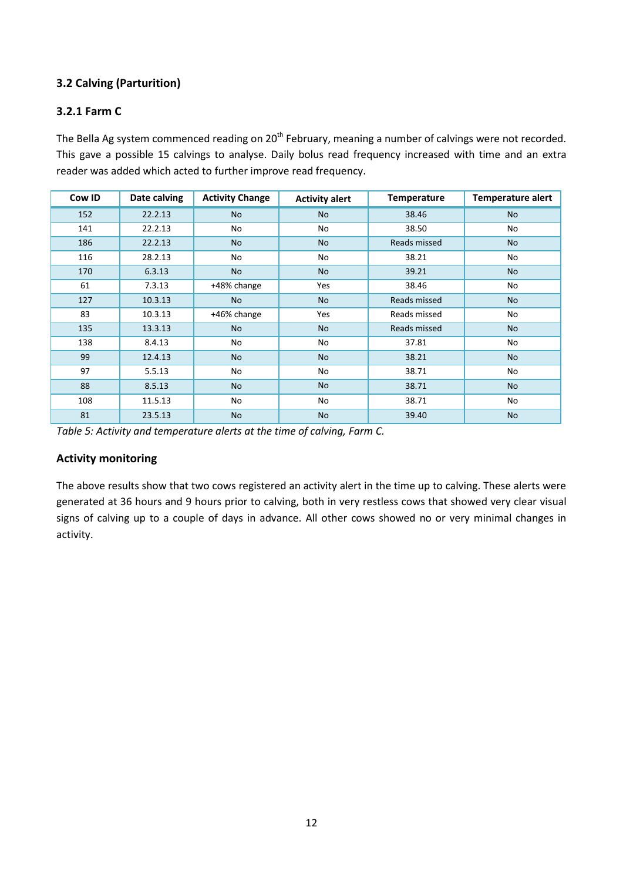# **3.2 Calving (Parturition)**

## **3.2.1 Farm C**

The Bella Ag system commenced reading on 20<sup>th</sup> February, meaning a number of calvings were not recorded. This gave a possible 15 calvings to analyse. Daily bolus read frequency increased with time and an extra reader was added which acted to further improve read frequency.

| Cow ID | Date calving | <b>Activity Change</b> | <b>Activity alert</b> | <b>Temperature</b> | <b>Temperature alert</b> |
|--------|--------------|------------------------|-----------------------|--------------------|--------------------------|
| 152    | 22.2.13      | <b>No</b>              | <b>No</b>             | 38.46              | <b>No</b>                |
| 141    | 22.2.13      | No                     | No                    | 38.50              | No                       |
| 186    | 22.2.13      | <b>No</b>              | N <sub>o</sub>        | Reads missed       | <b>No</b>                |
| 116    | 28.2.13      | No                     | No                    | 38.21              | No                       |
| 170    | 6.3.13       | <b>No</b>              | <b>No</b>             | 39.21              | <b>No</b>                |
| 61     | 7.3.13       | +48% change            | Yes                   | 38.46              | No                       |
| 127    | 10.3.13      | <b>No</b>              | <b>No</b>             | Reads missed       | <b>No</b>                |
| 83     | 10.3.13      | +46% change            | Yes                   | Reads missed       | No                       |
| 135    | 13.3.13      | <b>No</b>              | <b>No</b>             | Reads missed       | <b>No</b>                |
| 138    | 8.4.13       | No                     | No                    | 37.81              | No                       |
| 99     | 12.4.13      | <b>No</b>              | <b>No</b>             | 38.21              | <b>No</b>                |
| 97     | 5.5.13       | No                     | No                    | 38.71              | No                       |
| 88     | 8.5.13       | <b>No</b>              | <b>No</b>             | 38.71              | <b>No</b>                |
| 108    | 11.5.13      | No                     | No                    | 38.71              | No                       |
| 81     | 23.5.13      | <b>No</b>              | <b>No</b>             | 39.40              | <b>No</b>                |

*Table 5: Activity and temperature alerts at the time of calving, Farm C.*

#### **Activity monitoring**

The above results show that two cows registered an activity alert in the time up to calving. These alerts were generated at 36 hours and 9 hours prior to calving, both in very restless cows that showed very clear visual signs of calving up to a couple of days in advance. All other cows showed no or very minimal changes in activity.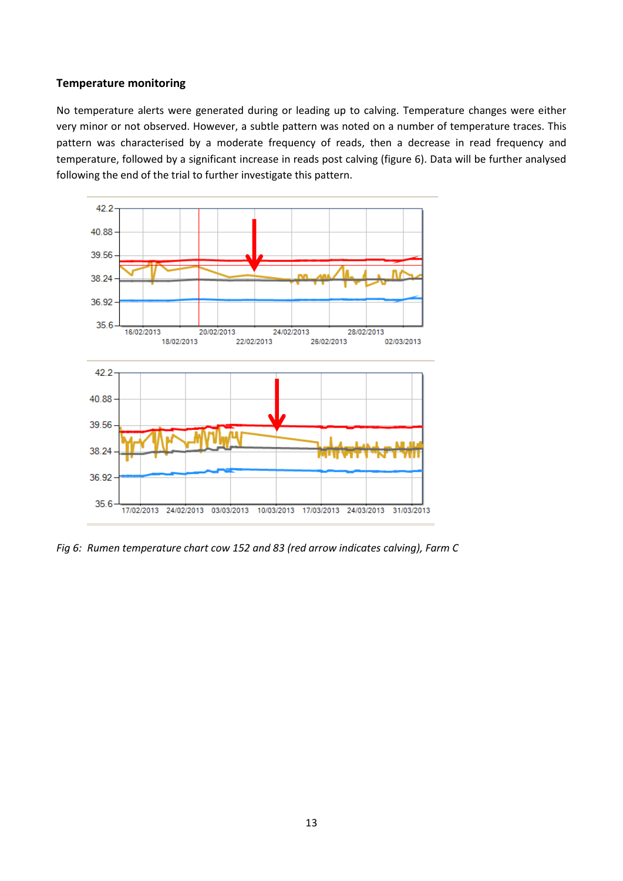#### **Temperature monitoring**

No temperature alerts were generated during or leading up to calving. Temperature changes were either very minor or not observed. However, a subtle pattern was noted on a number of temperature traces. This pattern was characterised by a moderate frequency of reads, then a decrease in read frequency and temperature, followed by a significant increase in reads post calving (figure 6). Data will be further analysed following the end of the trial to further investigate this pattern.



*Fig 6: Rumen temperature chart cow 152 and 83 (red arrow indicates calving), Farm C*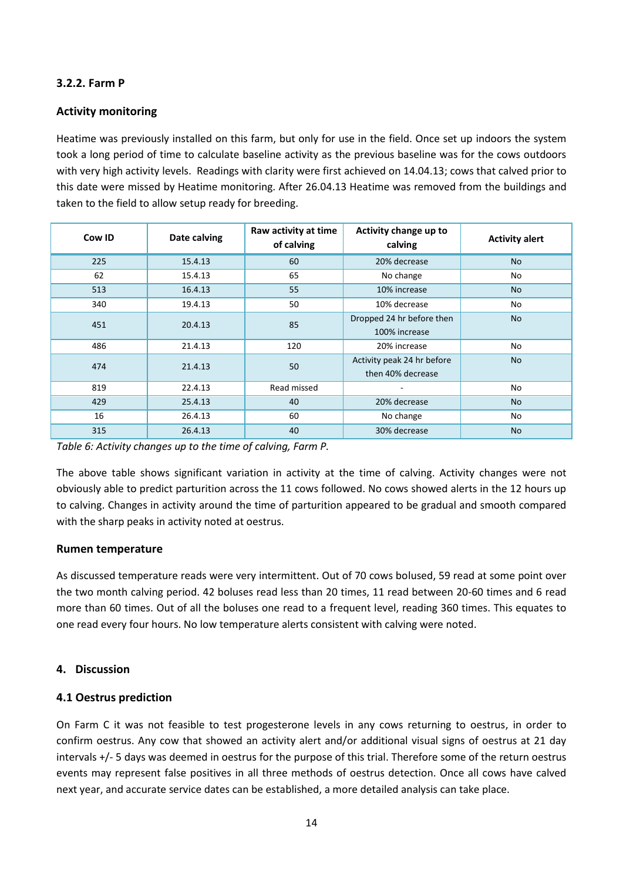# **3.2.2. Farm P**

### **Activity monitoring**

Heatime was previously installed on this farm, but only for use in the field. Once set up indoors the system took a long period of time to calculate baseline activity as the previous baseline was for the cows outdoors with very high activity levels. Readings with clarity were first achieved on 14.04.13; cows that calved prior to this date were missed by Heatime monitoring. After 26.04.13 Heatime was removed from the buildings and taken to the field to allow setup ready for breeding.

| Date calving<br>Cow ID |         | Raw activity at time<br>of calving | Activity change up to<br>calving                | <b>Activity alert</b> |
|------------------------|---------|------------------------------------|-------------------------------------------------|-----------------------|
| 225                    | 15.4.13 | 60                                 | 20% decrease                                    | <b>No</b>             |
| 62                     | 15.4.13 | 65                                 | No change                                       | No                    |
| 513                    | 16.4.13 | 55                                 | 10% increase                                    | <b>No</b>             |
| 340                    | 19.4.13 | 50                                 | 10% decrease                                    | No                    |
| 451                    | 20.4.13 | 85                                 | Dropped 24 hr before then<br>100% increase      | No                    |
| 486                    | 21.4.13 | 120                                | 20% increase                                    | No                    |
| 474                    | 21.4.13 | 50                                 | Activity peak 24 hr before<br>then 40% decrease | <b>No</b>             |
| 819                    | 22.4.13 | Read missed                        |                                                 | No                    |
| 429                    | 25.4.13 | 40                                 | 20% decrease                                    | <b>No</b>             |
| 16                     | 26.4.13 | 60                                 | No change                                       | No                    |
| 315                    | 26.4.13 | 40                                 | 30% decrease                                    | No                    |

*Table 6: Activity changes up to the time of calving, Farm P.*

The above table shows significant variation in activity at the time of calving. Activity changes were not obviously able to predict parturition across the 11 cows followed. No cows showed alerts in the 12 hours up to calving. Changes in activity around the time of parturition appeared to be gradual and smooth compared with the sharp peaks in activity noted at oestrus.

#### **Rumen temperature**

As discussed temperature reads were very intermittent. Out of 70 cows bolused, 59 read at some point over the two month calving period. 42 boluses read less than 20 times, 11 read between 20-60 times and 6 read more than 60 times. Out of all the boluses one read to a frequent level, reading 360 times. This equates to one read every four hours. No low temperature alerts consistent with calving were noted.

#### **4. Discussion**

#### **4.1 Oestrus prediction**

On Farm C it was not feasible to test progesterone levels in any cows returning to oestrus, in order to confirm oestrus. Any cow that showed an activity alert and/or additional visual signs of oestrus at 21 day intervals +/- 5 days was deemed in oestrus for the purpose of this trial. Therefore some of the return oestrus events may represent false positives in all three methods of oestrus detection. Once all cows have calved next year, and accurate service dates can be established, a more detailed analysis can take place.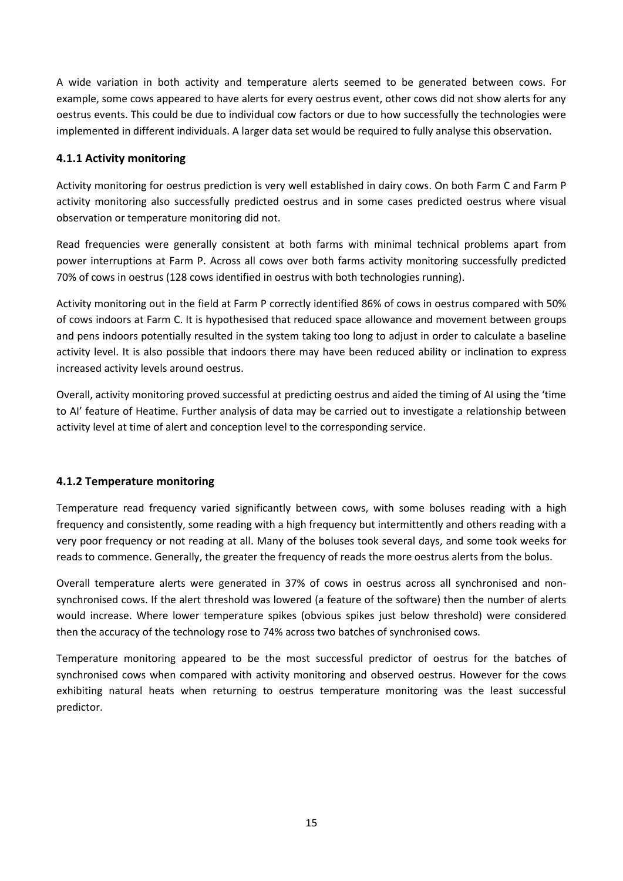A wide variation in both activity and temperature alerts seemed to be generated between cows. For example, some cows appeared to have alerts for every oestrus event, other cows did not show alerts for any oestrus events. This could be due to individual cow factors or due to how successfully the technologies were implemented in different individuals. A larger data set would be required to fully analyse this observation.

## **4.1.1 Activity monitoring**

Activity monitoring for oestrus prediction is very well established in dairy cows. On both Farm C and Farm P activity monitoring also successfully predicted oestrus and in some cases predicted oestrus where visual observation or temperature monitoring did not.

Read frequencies were generally consistent at both farms with minimal technical problems apart from power interruptions at Farm P. Across all cows over both farms activity monitoring successfully predicted 70% of cows in oestrus (128 cows identified in oestrus with both technologies running).

Activity monitoring out in the field at Farm P correctly identified 86% of cows in oestrus compared with 50% of cows indoors at Farm C. It is hypothesised that reduced space allowance and movement between groups and pens indoors potentially resulted in the system taking too long to adjust in order to calculate a baseline activity level. It is also possible that indoors there may have been reduced ability or inclination to express increased activity levels around oestrus.

Overall, activity monitoring proved successful at predicting oestrus and aided the timing of AI using the 'time to AI' feature of Heatime. Further analysis of data may be carried out to investigate a relationship between activity level at time of alert and conception level to the corresponding service.

# **4.1.2 Temperature monitoring**

Temperature read frequency varied significantly between cows, with some boluses reading with a high frequency and consistently, some reading with a high frequency but intermittently and others reading with a very poor frequency or not reading at all. Many of the boluses took several days, and some took weeks for reads to commence. Generally, the greater the frequency of reads the more oestrus alerts from the bolus.

Overall temperature alerts were generated in 37% of cows in oestrus across all synchronised and nonsynchronised cows. If the alert threshold was lowered (a feature of the software) then the number of alerts would increase. Where lower temperature spikes (obvious spikes just below threshold) were considered then the accuracy of the technology rose to 74% across two batches of synchronised cows.

Temperature monitoring appeared to be the most successful predictor of oestrus for the batches of synchronised cows when compared with activity monitoring and observed oestrus. However for the cows exhibiting natural heats when returning to oestrus temperature monitoring was the least successful predictor.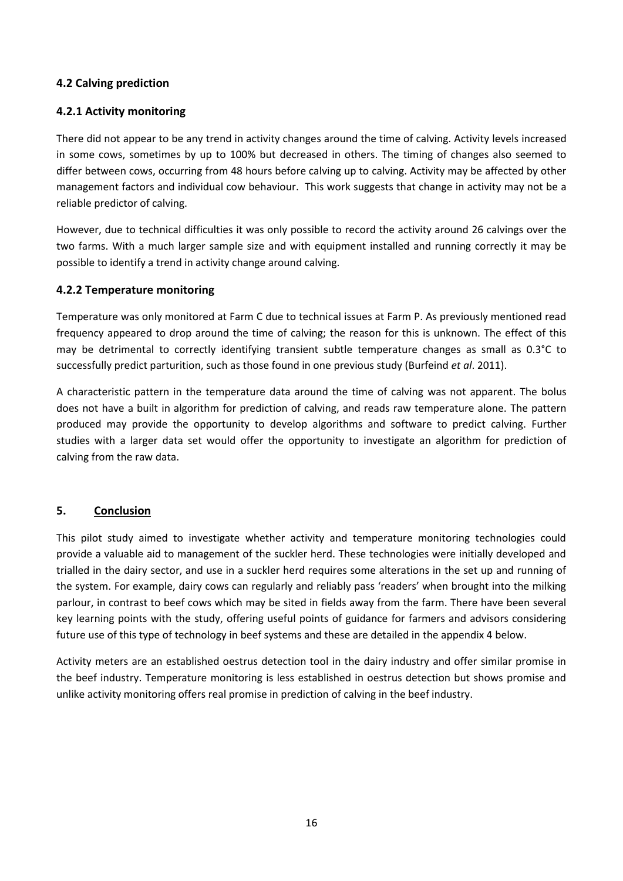## **4.2 Calving prediction**

#### **4.2.1 Activity monitoring**

There did not appear to be any trend in activity changes around the time of calving. Activity levels increased in some cows, sometimes by up to 100% but decreased in others. The timing of changes also seemed to differ between cows, occurring from 48 hours before calving up to calving. Activity may be affected by other management factors and individual cow behaviour. This work suggests that change in activity may not be a reliable predictor of calving.

However, due to technical difficulties it was only possible to record the activity around 26 calvings over the two farms. With a much larger sample size and with equipment installed and running correctly it may be possible to identify a trend in activity change around calving.

### **4.2.2 Temperature monitoring**

Temperature was only monitored at Farm C due to technical issues at Farm P. As previously mentioned read frequency appeared to drop around the time of calving; the reason for this is unknown. The effect of this may be detrimental to correctly identifying transient subtle temperature changes as small as 0.3°C to successfully predict parturition, such as those found in one previous study (Burfeind *et al*. 2011).

A characteristic pattern in the temperature data around the time of calving was not apparent. The bolus does not have a built in algorithm for prediction of calving, and reads raw temperature alone. The pattern produced may provide the opportunity to develop algorithms and software to predict calving. Further studies with a larger data set would offer the opportunity to investigate an algorithm for prediction of calving from the raw data.

#### **5. Conclusion**

This pilot study aimed to investigate whether activity and temperature monitoring technologies could provide a valuable aid to management of the suckler herd. These technologies were initially developed and trialled in the dairy sector, and use in a suckler herd requires some alterations in the set up and running of the system. For example, dairy cows can regularly and reliably pass 'readers' when brought into the milking parlour, in contrast to beef cows which may be sited in fields away from the farm. There have been several key learning points with the study, offering useful points of guidance for farmers and advisors considering future use of this type of technology in beef systems and these are detailed in the appendix 4 below.

Activity meters are an established oestrus detection tool in the dairy industry and offer similar promise in the beef industry. Temperature monitoring is less established in oestrus detection but shows promise and unlike activity monitoring offers real promise in prediction of calving in the beef industry.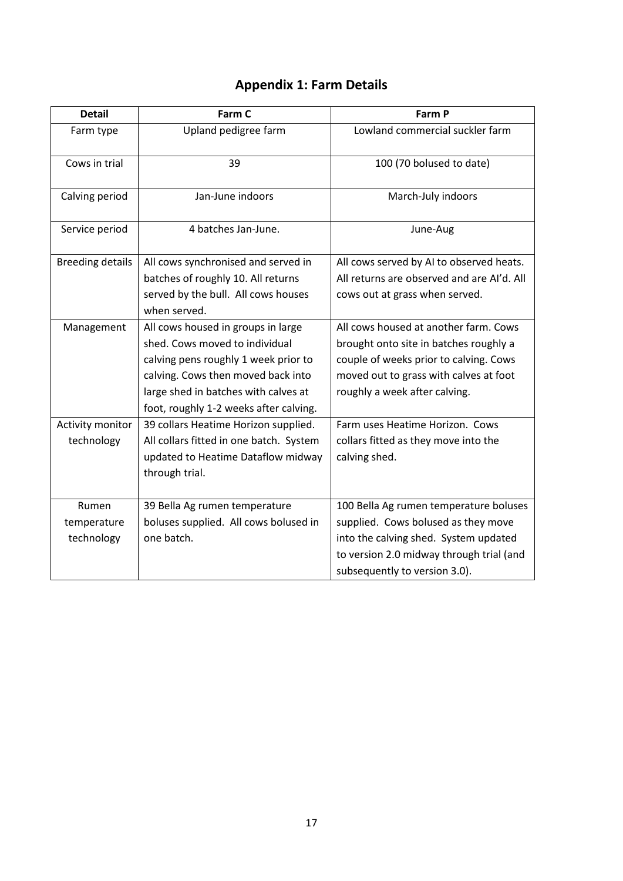# **Appendix 1: Farm Details**

| <b>Detail</b>           | Farm C                                  | Farm P                                     |
|-------------------------|-----------------------------------------|--------------------------------------------|
| Farm type               | Upland pedigree farm                    | Lowland commercial suckler farm            |
| Cows in trial           | 39                                      | 100 (70 bolused to date)                   |
| Calving period          | Jan-June indoors                        | March-July indoors                         |
| Service period          | 4 batches Jan-June.                     | June-Aug                                   |
| <b>Breeding details</b> | All cows synchronised and served in     | All cows served by AI to observed heats.   |
|                         | batches of roughly 10. All returns      | All returns are observed and are Al'd. All |
|                         | served by the bull. All cows houses     | cows out at grass when served.             |
|                         | when served.                            |                                            |
| Management              | All cows housed in groups in large      | All cows housed at another farm. Cows      |
|                         | shed. Cows moved to individual          | brought onto site in batches roughly a     |
|                         | calving pens roughly 1 week prior to    | couple of weeks prior to calving. Cows     |
|                         | calving. Cows then moved back into      | moved out to grass with calves at foot     |
|                         | large shed in batches with calves at    | roughly a week after calving.              |
|                         | foot, roughly 1-2 weeks after calving.  |                                            |
| Activity monitor        | 39 collars Heatime Horizon supplied.    | Farm uses Heatime Horizon. Cows            |
| technology              | All collars fitted in one batch. System | collars fitted as they move into the       |
|                         | updated to Heatime Dataflow midway      | calving shed.                              |
|                         | through trial.                          |                                            |
| Rumen                   | 39 Bella Ag rumen temperature           | 100 Bella Ag rumen temperature boluses     |
| temperature             | boluses supplied. All cows bolused in   | supplied. Cows bolused as they move        |
| technology              | one batch.                              | into the calving shed. System updated      |
|                         |                                         | to version 2.0 midway through trial (and   |
|                         |                                         | subsequently to version 3.0).              |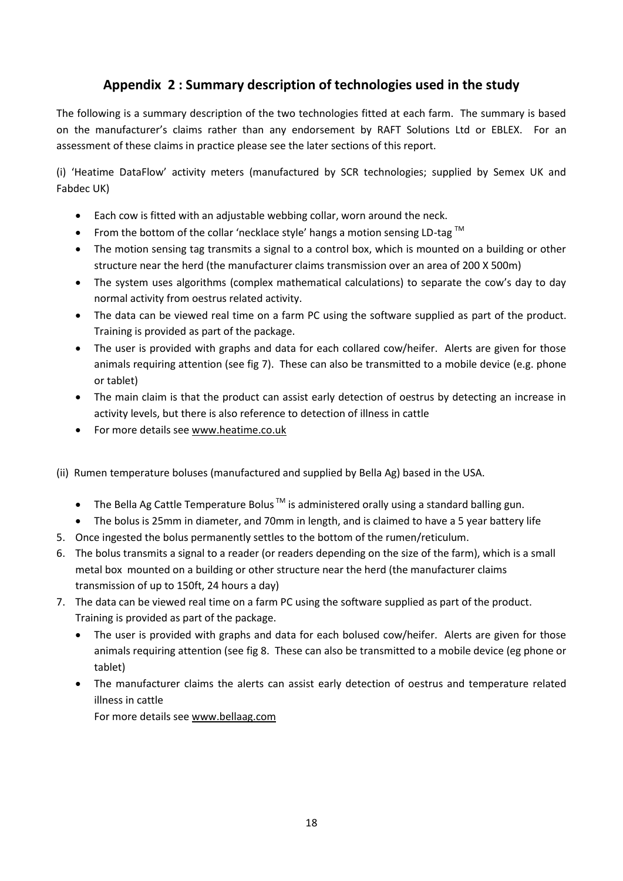# **Appendix 2 : Summary description of technologies used in the study**

The following is a summary description of the two technologies fitted at each farm. The summary is based on the manufacturer's claims rather than any endorsement by RAFT Solutions Ltd or EBLEX. For an assessment of these claims in practice please see the later sections of this report.

(i) 'Heatime DataFlow' activity meters (manufactured by SCR technologies; supplied by Semex UK and Fabdec UK)

- Each cow is fitted with an adjustable webbing collar, worn around the neck.
- From the bottom of the collar 'necklace style' hangs a motion sensing LD-tag  $^{TM}$
- The motion sensing tag transmits a signal to a control box, which is mounted on a building or other structure near the herd (the manufacturer claims transmission over an area of 200 X 500m)
- The system uses algorithms (complex mathematical calculations) to separate the cow's day to day normal activity from oestrus related activity.
- The data can be viewed real time on a farm PC using the software supplied as part of the product. Training is provided as part of the package.
- The user is provided with graphs and data for each collared cow/heifer. Alerts are given for those animals requiring attention (see fig 7). These can also be transmitted to a mobile device (e.g. phone or tablet)
- The main claim is that the product can assist early detection of oestrus by detecting an increase in activity levels, but there is also reference to detection of illness in cattle
- For more details see www.heatime.co.uk
- (ii) Rumen temperature boluses (manufactured and supplied by Bella Ag) based in the USA.
	- $\bullet$  The Bella Ag Cattle Temperature Bolus  $\text{TM}$  is administered orally using a standard balling gun.
	- The bolus is 25mm in diameter, and 70mm in length, and is claimed to have a 5 year battery life
- 5. Once ingested the bolus permanently settles to the bottom of the rumen/reticulum.
- 6. The bolus transmits a signal to a reader (or readers depending on the size of the farm), which is a small metal box mounted on a building or other structure near the herd (the manufacturer claims transmission of up to 150ft, 24 hours a day)
- 7. The data can be viewed real time on a farm PC using the software supplied as part of the product. Training is provided as part of the package.
	- The user is provided with graphs and data for each bolused cow/heifer. Alerts are given for those animals requiring attention (see fig 8. These can also be transmitted to a mobile device (eg phone or tablet)
	- The manufacturer claims the alerts can assist early detection of oestrus and temperature related illness in cattle

For more details see www.bellaag.com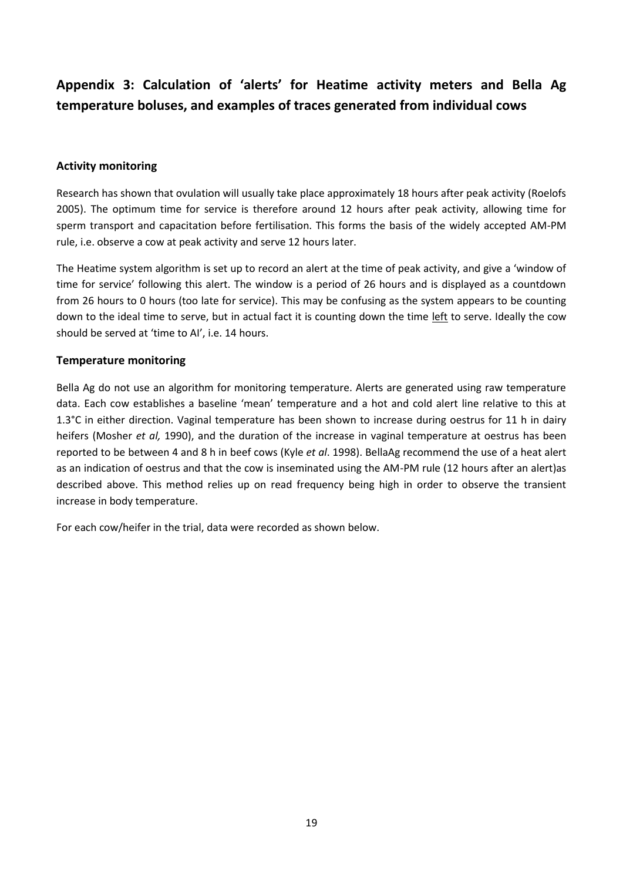# **Appendix 3: Calculation of 'alerts' for Heatime activity meters and Bella Ag temperature boluses, and examples of traces generated from individual cows**

#### **Activity monitoring**

Research has shown that ovulation will usually take place approximately 18 hours after peak activity (Roelofs 2005). The optimum time for service is therefore around 12 hours after peak activity, allowing time for sperm transport and capacitation before fertilisation. This forms the basis of the widely accepted AM-PM rule, i.e. observe a cow at peak activity and serve 12 hours later.

The Heatime system algorithm is set up to record an alert at the time of peak activity, and give a 'window of time for service' following this alert. The window is a period of 26 hours and is displayed as a countdown from 26 hours to 0 hours (too late for service). This may be confusing as the system appears to be counting down to the ideal time to serve, but in actual fact it is counting down the time left to serve. Ideally the cow should be served at 'time to AI', i.e. 14 hours.

#### **Temperature monitoring**

Bella Ag do not use an algorithm for monitoring temperature. Alerts are generated using raw temperature data. Each cow establishes a baseline 'mean' temperature and a hot and cold alert line relative to this at 1.3°C in either direction. Vaginal temperature has been shown to increase during oestrus for 11 h in dairy heifers (Mosher *et al,* 1990), and the duration of the increase in vaginal temperature at oestrus has been reported to be between 4 and 8 h in beef cows (Kyle *et al*. 1998). BellaAg recommend the use of a heat alert as an indication of oestrus and that the cow is inseminated using the AM-PM rule (12 hours after an alert)as described above. This method relies up on read frequency being high in order to observe the transient increase in body temperature.

For each cow/heifer in the trial, data were recorded as shown below.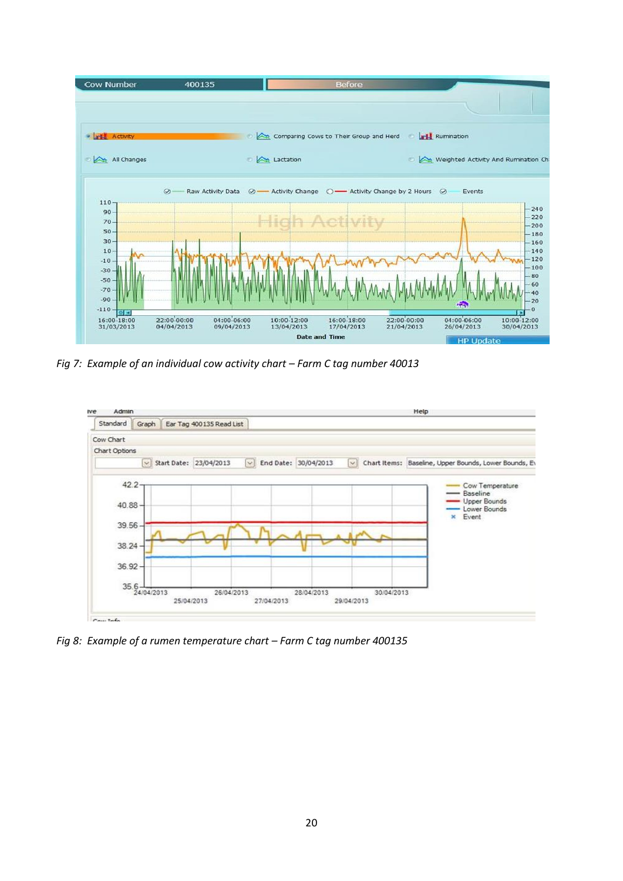

*Fig 7: Example of an individual cow activity chart – Farm C tag number 40013*



*Fig 8: Example of a rumen temperature chart – Farm C tag number 400135*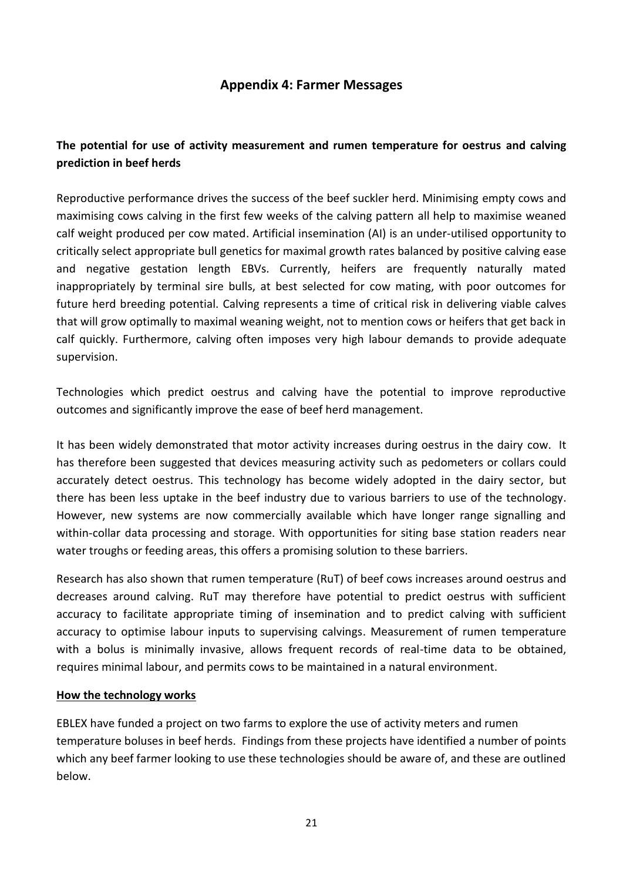# **Appendix 4: Farmer Messages**

# **The potential for use of activity measurement and rumen temperature for oestrus and calving prediction in beef herds**

Reproductive performance drives the success of the beef suckler herd. Minimising empty cows and maximising cows calving in the first few weeks of the calving pattern all help to maximise weaned calf weight produced per cow mated. Artificial insemination (AI) is an under-utilised opportunity to critically select appropriate bull genetics for maximal growth rates balanced by positive calving ease and negative gestation length EBVs. Currently, heifers are frequently naturally mated inappropriately by terminal sire bulls, at best selected for cow mating, with poor outcomes for future herd breeding potential. Calving represents a time of critical risk in delivering viable calves that will grow optimally to maximal weaning weight, not to mention cows or heifers that get back in calf quickly. Furthermore, calving often imposes very high labour demands to provide adequate supervision.

Technologies which predict oestrus and calving have the potential to improve reproductive outcomes and significantly improve the ease of beef herd management.

It has been widely demonstrated that motor activity increases during oestrus in the dairy cow. It has therefore been suggested that devices measuring activity such as pedometers or collars could accurately detect oestrus. This technology has become widely adopted in the dairy sector, but there has been less uptake in the beef industry due to various barriers to use of the technology. However, new systems are now commercially available which have longer range signalling and within-collar data processing and storage. With opportunities for siting base station readers near water troughs or feeding areas, this offers a promising solution to these barriers.

Research has also shown that rumen temperature (RuT) of beef cows increases around oestrus and decreases around calving. RuT may therefore have potential to predict oestrus with sufficient accuracy to facilitate appropriate timing of insemination and to predict calving with sufficient accuracy to optimise labour inputs to supervising calvings. Measurement of rumen temperature with a bolus is minimally invasive, allows frequent records of real-time data to be obtained, requires minimal labour, and permits cows to be maintained in a natural environment.

#### **How the technology works**

EBLEX have funded a project on two farms to explore the use of activity meters and rumen temperature boluses in beef herds. Findings from these projects have identified a number of points which any beef farmer looking to use these technologies should be aware of, and these are outlined below.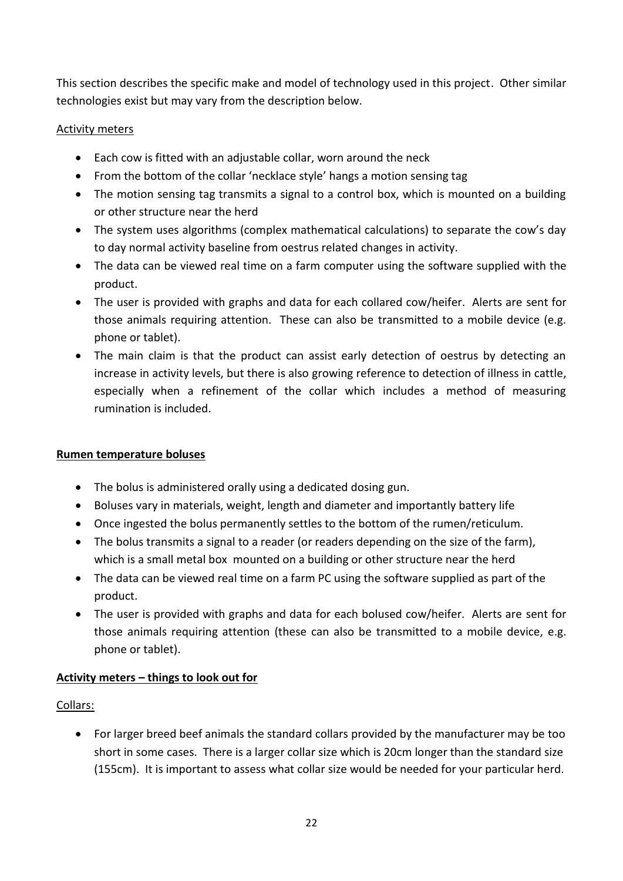This section describes the specific make and model of technology used in this project. Other similar technologies exist but may vary from the description below.

# Activity meters

- Each cow is fitted with an adjustable collar, worn around the neck
- From the bottom of the collar 'necklace style' hangs a motion sensing tag
- The motion sensing tag transmits a signal to a control box, which is mounted on a building or other structure near the herd
- The system uses algorithms (complex mathematical calculations) to separate the cow's day to day normal activity baseline from oestrus related changes in activity.
- The data can be viewed real time on a farm computer using the software supplied with the product.
- The user is provided with graphs and data for each collared cow/heifer. Alerts are sent for those animals requiring attention. These can also be transmitted to a mobile device (e.g. phone or tablet).
- The main claim is that the product can assist early detection of oestrus by detecting an increase in activity levels, but there is also growing reference to detection of illness in cattle, especially when a refinement of the collar which includes a method of measuring rumination is included.

# **Rumen temperature boluses**

- The bolus is administered orally using a dedicated dosing gun.
- Boluses vary in materials, weight, length and diameter and importantly battery life
- Once ingested the bolus permanently settles to the bottom of the rumen/reticulum.
- The bolus transmits a signal to a reader (or readers depending on the size of the farm), which is a small metal box mounted on a building or other structure near the herd
- The data can be viewed real time on a farm PC using the software supplied as part of the product.
- The user is provided with graphs and data for each bolused cow/heifer. Alerts are sent for those animals requiring attention (these can also be transmitted to a mobile device, e.g. phone or tablet).

# **Activity meters – things to look out for**

# Collars:

 For larger breed beef animals the standard collars provided by the manufacturer may be too short in some cases. There is a larger collar size which is 20cm longer than the standard size (155cm). It is important to assess what collar size would be needed for your particular herd.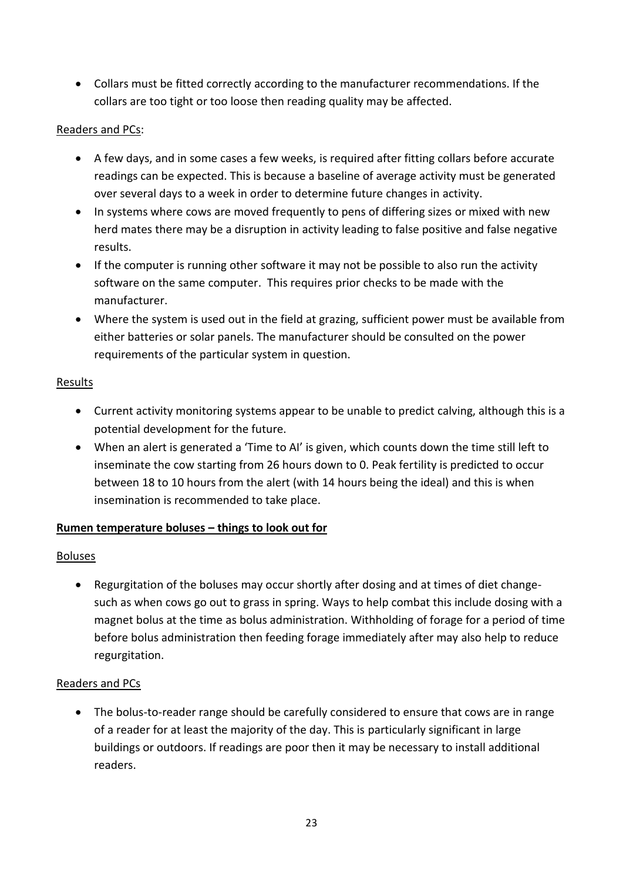Collars must be fitted correctly according to the manufacturer recommendations. If the collars are too tight or too loose then reading quality may be affected.

# Readers and PCs:

- A few days, and in some cases a few weeks, is required after fitting collars before accurate readings can be expected. This is because a baseline of average activity must be generated over several days to a week in order to determine future changes in activity.
- In systems where cows are moved frequently to pens of differing sizes or mixed with new herd mates there may be a disruption in activity leading to false positive and false negative results.
- If the computer is running other software it may not be possible to also run the activity software on the same computer. This requires prior checks to be made with the manufacturer.
- Where the system is used out in the field at grazing, sufficient power must be available from either batteries or solar panels. The manufacturer should be consulted on the power requirements of the particular system in question.

# **Results**

- Current activity monitoring systems appear to be unable to predict calving, although this is a potential development for the future.
- When an alert is generated a 'Time to AI' is given, which counts down the time still left to inseminate the cow starting from 26 hours down to 0. Peak fertility is predicted to occur between 18 to 10 hours from the alert (with 14 hours being the ideal) and this is when insemination is recommended to take place.

# **Rumen temperature boluses – things to look out for**

# Boluses

 Regurgitation of the boluses may occur shortly after dosing and at times of diet changesuch as when cows go out to grass in spring. Ways to help combat this include dosing with a magnet bolus at the time as bolus administration. Withholding of forage for a period of time before bolus administration then feeding forage immediately after may also help to reduce regurgitation.

# Readers and PCs

 The bolus-to-reader range should be carefully considered to ensure that cows are in range of a reader for at least the majority of the day. This is particularly significant in large buildings or outdoors. If readings are poor then it may be necessary to install additional readers.